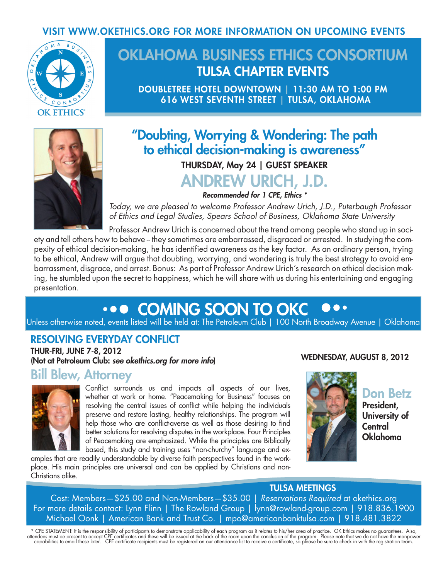### VISIT WWW.OKETHICS.ORG FOR MORE INFORMATION ON UPCOMING EVENTS



# OKLAHOMA BUSINESS ETHICS CONSORTIUM TULSA CHAPTER EVENTS

DOUBLETREE HOTEL DOWNTOWN | 11:30 AM TO 1:00 PM 616 WEST SEVENTH STREET | TULSA, OKLAHOMA



## "Doubting, Worrying & Wondering: The path to ethical decision-making is awareness"

### THURSDAY, May 24 | GUEST SPEAKER

# ANDREW URICH, J.D.

*Recommended for 1 CPE, Ethics \**

*Today, we are pleased to welcome Professor Andrew Urich, J.D., Puterbaugh Professor of Ethics and Legal Studies, Spears School of Business, Oklahoma State University*

Professor Andrew Urich is concerned about the trend among people who stand up in society and tell others how to behave – they sometimes are embarrassed, disgraced or arrested. In studying the compexity of ethical decision-making, he has identified awareness as the key factor. As an ordinary person, trying to be ethical, Andrew will argue that doubting, worrying, and wondering is truly the best strategy to avoid embarrassment, disgrace, and arrest. Bonus: As part of Professor Andrew Urich's research on ethical decision making, he stumbled upon the secret to happiness, which he will share with us during his entertaining and engaging presentation.

#### **... COMING SOON TO OKC** 880

Unless otherwise noted, events listed will be held at: The Petroleum Club | 100 North Broadway Avenue | Oklahoma

### RESOLVING EVERYDAY CONFLICT

THUR-FRI, JUNE 7-8, 2012 (Not at Petroleum Club: *see okethics.org for more info*)

### Bill Blew, Attorney



Conflict surrounds us and impacts all aspects of our lives, whether at work or home. "Peacemaking for Business" focuses on resolving the central issues of conflict while helping the individuals preserve and restore lasting, healthy relationships. The program will help those who are conflict-averse as well as those desiring to find better solutions for resolving disputes in the workplace. Four Principles of Peacemaking are emphasized. While the principles are Biblically based, this study and training uses "non-churchy" language and ex-

amples that are readily understandable by diverse faith perspectives found in the workplace. His main principles are universal and can be applied by Christians and non-Christians alike.



WEDNESDAY, AUGUST 8, 2012

Don Betz

President, University of **Central** Oklahoma

#### TULSA MEETINGS

Cost: Members—\$25.00 and Non-Members—\$35.00 | *Reservations Required* at okethics.org For more details contact: Lynn Flinn | The Rowland Group | lynn@rowland-group.com | 918.836.1900 Michael Oonk | American Bank and Trust Co. | mpo@americanbanktulsa.com | 918.481.3822

\* CPE STATEMENT: It is the responsibility of participants to demonstrate applicability of each program as it relates to his/her area of practice. OK Ethics makes no guarantees. Also,<br>attendees must be present to accept CPE